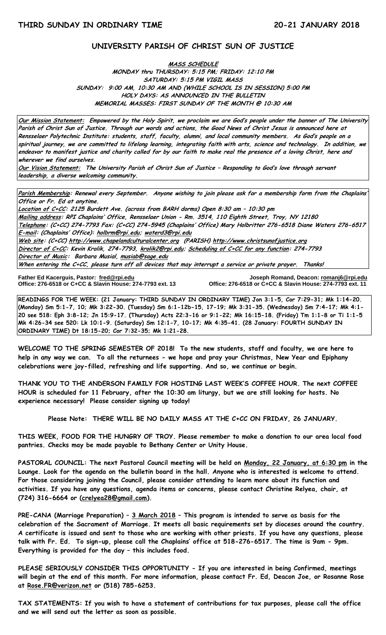### **UNIVERSITY PARISH OF CHRIST SUN OF JUSTICE**

#### **MASS SCHEDULE MONDAY thru THURSDAY: 5:15 PM; FRIDAY: 12:10 PM SATURDAY: 5:15 PM VIGIL MASS SUNDAY: 9:00 AM, 10:30 AM AND (WHILE SCHOOL IS IN SESSION) 5:00 PM HOLY DAYS: AS ANNOUNCED IN THE BULLETIN MEMORIAL MASSES: FIRST SUNDAY OF THE MONTH @ 10:30 AM**

**Our Mission Statement: Empowered by the Holy Spirit, we proclaim we are God's people under the banner of The University Parish of Christ Sun of Justice. Through our words and actions, the Good News of Christ Jesus is announced here at Rensselaer Polytechnic Institute: students, staff, faculty, alumni, and local community members. As God's people on a spiritual journey, we are committed to lifelong learning, integrating faith with arts, science and technology. In addition, we endeavor to manifest justice and charity called for by our faith to make real the presence of a loving Christ, here and wherever we find ourselves.**

**Our Vision Statement: The University Parish of Christ Sun of Justice – Responding to God's love through servant leadership, a diverse welcoming community.**

**Parish Membership: Renewal every September. Anyone wishing to join please ask for a membership form from the Chaplains' Office or Fr. Ed at anytime.**

**Location of C+CC: 2125 Burdett Ave. (across from BARH dorms) Open 8:30 am – 10:30 pm Mailing address: RPI Chaplains' Office, Rensselaer Union - Rm. 3514, 110 Eighth Street, Troy, NY 12180 Telephone: (C+CC) 274-7793 Fax: (C+CC) 274-5945 (Chaplains' Office) Mary Holbritter 276-6518 Diane Waters 276-6517 E-mail: (Chaplains' Office): [holbrm@rpi.edu;](mailto:holbrm@rpi.edu) waterd3@rpi.edu Web site: (C+CC[\) http://www.chapelandculturalcenter.org](http://www.chapelandculturalcenter.org/) (PARISH) http://www.christsunofjustice.org Director of C+CC: Kevin Krolik, 274-7793, krolik2@rpi.edu; Scheduling of C+CC for any function: 274-7793 Director of Music: Barbara Musial, [musiab@sage.edu](mailto:musiab@sage.edu) When entering the C+CC, please turn off all devices that may interrupt a service or private prayer. Thanks!** 

İ **Father Ed Kacerguis, Pastor: [fred@rpi.edu](mailto:fred@rpi.edu) Joseph Romand, Deacon[: romanj6@rpi.edu](mailto:romanj6@rpi.edu)**

**Office: 276-6518 or C+CC & Slavin House: 274-7793 ext. 13 Office: 276-6518 or C+CC & Slavin House: 274-7793 ext. 11**

**READINGS FOR THE WEEK: (21 January: THIRD SUNDAY IN ORDINARY TIME) Jon 3:1-5, Cor 7:29-31; Mk 1:14-20. (Monday) Sm 5:1-7, 10; Mk 3:22-30. (Tuesday) Sm 6:1-12b-15, 17-19; Mk 3:31-35. (Wednesday) Sm 7:4-17; Mk 4:1- 20 see 518: Eph 3:8-12; Jn 15:9-17. (Thursday) Acts 22:3-16 or 9:1-22; Mk 16:15-18. (Friday) Tm 1:1-8 or Ti 1:1-5 Mk 4:26-34 see 520: Lk 10:1-9. (Saturday) Sm 12:1-7, 10-17; Mk 4:35-41. (28 January: FOURTH SUNDAY IN ORDINARY TIME) Dt 18:15-20; Cor 7:32-35; Mk 1:21-28.**

**WELCOME TO THE SPRING SEMESTER OF 2018! To the new students, staff and faculty, we are here to help in any way we can. To all the returnees - we hope and pray your Christmas, New Year and Epiphany celebrations were joy-filled, refreshing and life supporting. And so, we continue or begin.**

**THANK YOU TO THE ANDERSON FAMILY FOR HOSTING LAST WEEK'S COFFEE HOUR. The next COFFEE HOUR is scheduled for 11 February, after the 10:30 am liturgy, but we are still looking for hosts. No experience necessary! Please consider signing up today!** 

**Please Note: THERE WILL BE NO DAILY MASS AT THE C+CC ON FRIDAY, 26 JANUARY.**

**THIS WEEK, FOOD FOR THE HUNGRY OF TROY. Please remember to make a donation to our area local food pantries. Checks may be made payable to Bethany Center or Unity House.** 

**PASTORAL COUNCIL: The next Pastoral Council meeting will be held on Monday, 22 January, at 6:30 pm in the Lounge. Look for the agenda on the bulletin board in the hall. Anyone who is interested is welcome to attend. For those considering joining the Council, please consider attending to learn more about its function and activities. If you have any questions, agenda items or concerns, please contact Christine Relyea, chair, at (724) 316-6664 or [\(crelyea28@gmail.com\)](mailto:crelyea28@gmail.com).**

**PRE-CANA (Marriage Preparation) – 3 March 2018 – This program is intended to serve as basis for the celebration of the Sacrament of Marriage. It meets all basic requirements set by dioceses around the country. A certificate is issued and sent to those who are working with other priests. If you have any questions, please talk with Fr. Ed. To sign-up, please call the Chaplains' office at 518-276-6517. The time is 9am - 9pm. Everything is provided for the day – this includes food.**

**PLEASE SERIOUSLY CONSIDER THIS OPPORTUNITY - If you are interested in being Confirmed, meetings will begin at the end of this month. For more information, please contact Fr. Ed, Deacon Joe, or Rosanne Rose at [Rose.FR@verizon.net](mailto:Rose.FR@verizon.net) or (518) 785-6253.**

**TAX STATEMENTS: If you wish to have a statement of contributions for tax purposes, please call the office and we will send out the letter as soon as possible.**